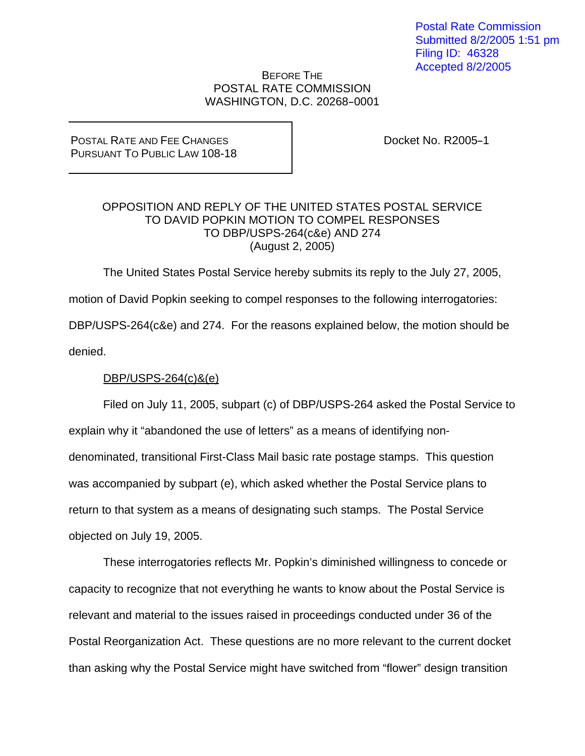## BEFORE THE POSTAL RATE COMMISSION WASHINGTON, D.C. 20268-0001

## POSTAL RATE AND FEE CHANGES PURSUANT TO PUBLIC LAW 108-18

Docket No. R2005-1

## OPPOSITION AND REPLY OF THE UNITED STATES POSTAL SERVICE TO DAVID POPKIN MOTION TO COMPEL RESPONSES TO DBP/USPS-264(c&e) AND 274 (August 2, 2005)

The United States Postal Service hereby submits its reply to the July 27, 2005,

motion of David Popkin seeking to compel responses to the following interrogatories:

DBP/USPS-264(c&e) and 274. For the reasons explained below, the motion should be

denied.

# DBP/USPS-264(c)&(e)

 Filed on July 11, 2005, subpart (c) of DBP/USPS-264 asked the Postal Service to explain why it "abandoned the use of letters" as a means of identifying nondenominated, transitional First-Class Mail basic rate postage stamps. This question was accompanied by subpart (e), which asked whether the Postal Service plans to return to that system as a means of designating such stamps. The Postal Service objected on July 19, 2005.

 These interrogatories reflects Mr. Popkin's diminished willingness to concede or capacity to recognize that not everything he wants to know about the Postal Service is relevant and material to the issues raised in proceedings conducted under 36 of the Postal Reorganization Act. These questions are no more relevant to the current docket than asking why the Postal Service might have switched from "flower" design transition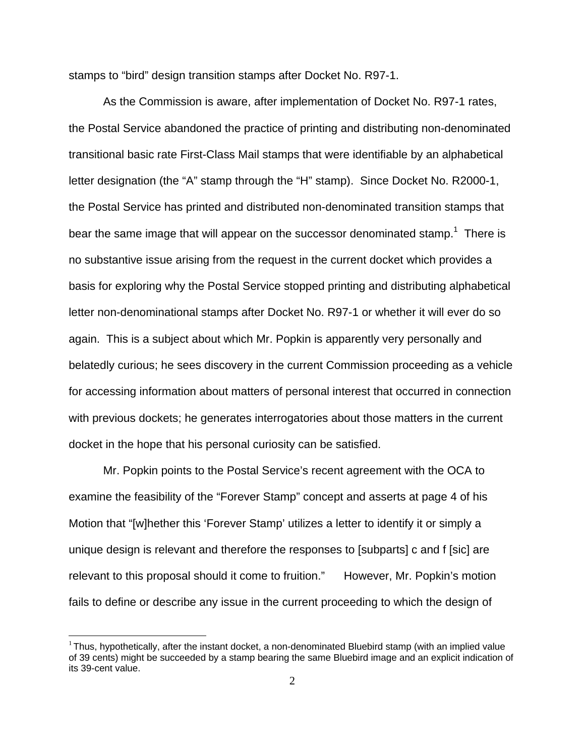stamps to "bird" design transition stamps after Docket No. R97-1.

 As the Commission is aware, after implementation of Docket No. R97-1 rates, the Postal Service abandoned the practice of printing and distributing non-denominated transitional basic rate First-Class Mail stamps that were identifiable by an alphabetical letter designation (the "A" stamp through the "H" stamp). Since Docket No. R2000-1, the Postal Service has printed and distributed non-denominated transition stamps that bear the same image that will appear on the successor denominated stamp.<sup>1</sup> There is no substantive issue arising from the request in the current docket which provides a basis for exploring why the Postal Service stopped printing and distributing alphabetical letter non-denominational stamps after Docket No. R97-1 or whether it will ever do so again. This is a subject about which Mr. Popkin is apparently very personally and belatedly curious; he sees discovery in the current Commission proceeding as a vehicle for accessing information about matters of personal interest that occurred in connection with previous dockets; he generates interrogatories about those matters in the current docket in the hope that his personal curiosity can be satisfied.

 Mr. Popkin points to the Postal Service's recent agreement with the OCA to examine the feasibility of the "Forever Stamp" concept and asserts at page 4 of his Motion that "[w]hether this 'Forever Stamp' utilizes a letter to identify it or simply a unique design is relevant and therefore the responses to [subparts] c and f [sic] are relevant to this proposal should it come to fruition." However, Mr. Popkin's motion fails to define or describe any issue in the current proceeding to which the design of

 $1$ Thus, hypothetically, after the instant docket, a non-denominated Bluebird stamp (with an implied value of 39 cents) might be succeeded by a stamp bearing the same Bluebird image and an explicit indication of its 39-cent value.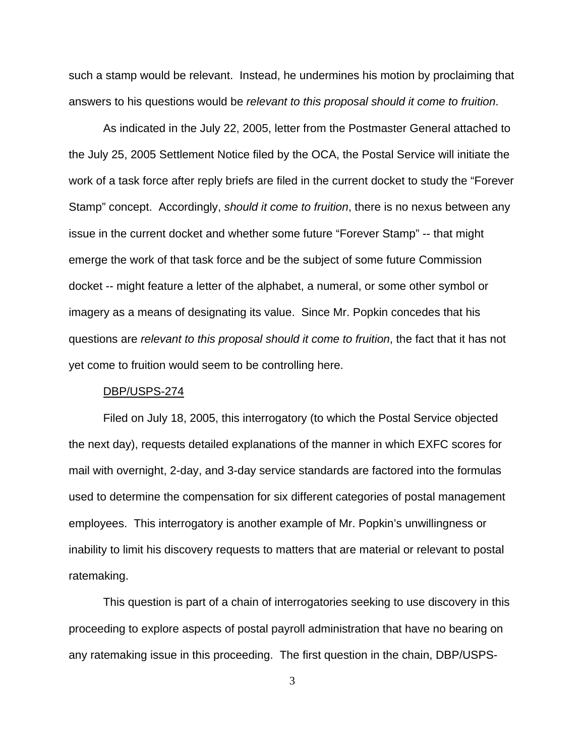such a stamp would be relevant. Instead, he undermines his motion by proclaiming that answers to his questions would be *relevant to this proposal should it come to fruition*.

 As indicated in the July 22, 2005, letter from the Postmaster General attached to the July 25, 2005 Settlement Notice filed by the OCA, the Postal Service will initiate the work of a task force after reply briefs are filed in the current docket to study the "Forever Stamp" concept. Accordingly, *should it come to fruition*, there is no nexus between any issue in the current docket and whether some future "Forever Stamp" -- that might emerge the work of that task force and be the subject of some future Commission docket -- might feature a letter of the alphabet, a numeral, or some other symbol or imagery as a means of designating its value. Since Mr. Popkin concedes that his questions are *relevant to this proposal should it come to fruition*, the fact that it has not yet come to fruition would seem to be controlling here.

#### DBP/USPS-274

 Filed on July 18, 2005, this interrogatory (to which the Postal Service objected the next day), requests detailed explanations of the manner in which EXFC scores for mail with overnight, 2-day, and 3-day service standards are factored into the formulas used to determine the compensation for six different categories of postal management employees. This interrogatory is another example of Mr. Popkin's unwillingness or inability to limit his discovery requests to matters that are material or relevant to postal ratemaking.

 This question is part of a chain of interrogatories seeking to use discovery in this proceeding to explore aspects of postal payroll administration that have no bearing on any ratemaking issue in this proceeding. The first question in the chain, DBP/USPS-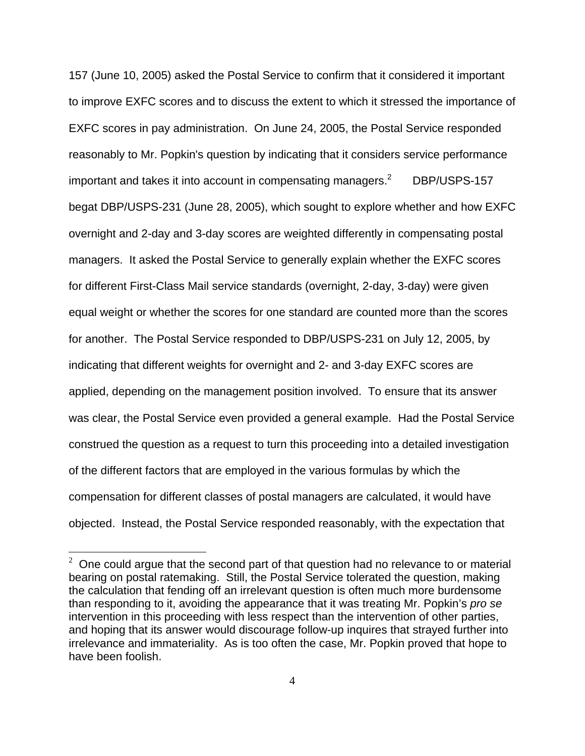157 (June 10, 2005) asked the Postal Service to confirm that it considered it important to improve EXFC scores and to discuss the extent to which it stressed the importance of EXFC scores in pay administration. On June 24, 2005, the Postal Service responded reasonably to Mr. Popkin's question by indicating that it considers service performance important and takes it into account in compensating managers.<sup>2</sup> DBP/USPS-157 begat DBP/USPS-231 (June 28, 2005), which sought to explore whether and how EXFC overnight and 2-day and 3-day scores are weighted differently in compensating postal managers. It asked the Postal Service to generally explain whether the EXFC scores for different First-Class Mail service standards (overnight, 2-day, 3-day) were given equal weight or whether the scores for one standard are counted more than the scores for another. The Postal Service responded to DBP/USPS-231 on July 12, 2005, by indicating that different weights for overnight and 2- and 3-day EXFC scores are applied, depending on the management position involved. To ensure that its answer was clear, the Postal Service even provided a general example. Had the Postal Service construed the question as a request to turn this proceeding into a detailed investigation of the different factors that are employed in the various formulas by which the compensation for different classes of postal managers are calculated, it would have objected. Instead, the Postal Service responded reasonably, with the expectation that

 $\overline{a}$ 

 $2$  One could argue that the second part of that question had no relevance to or material bearing on postal ratemaking. Still, the Postal Service tolerated the question, making the calculation that fending off an irrelevant question is often much more burdensome than responding to it, avoiding the appearance that it was treating Mr. Popkin's *pro se* intervention in this proceeding with less respect than the intervention of other parties, and hoping that its answer would discourage follow-up inquires that strayed further into irrelevance and immateriality. As is too often the case, Mr. Popkin proved that hope to have been foolish.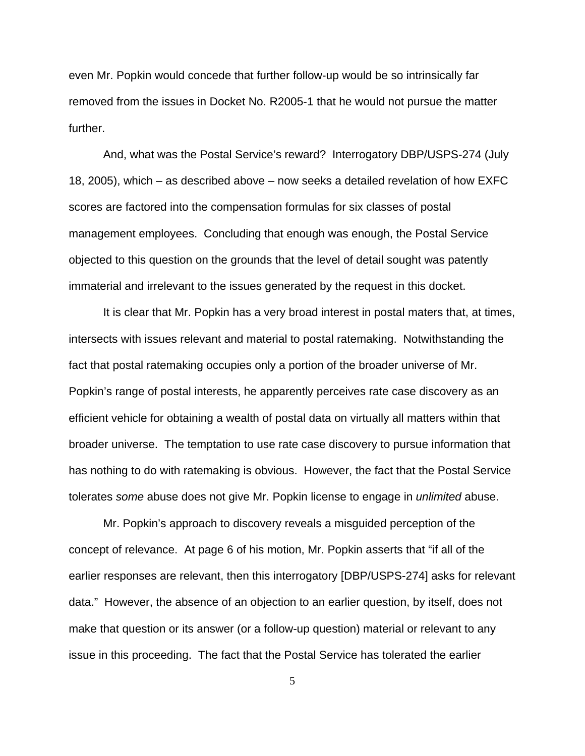even Mr. Popkin would concede that further follow-up would be so intrinsically far removed from the issues in Docket No. R2005-1 that he would not pursue the matter further.

 And, what was the Postal Service's reward? Interrogatory DBP/USPS-274 (July 18, 2005), which – as described above – now seeks a detailed revelation of how EXFC scores are factored into the compensation formulas for six classes of postal management employees. Concluding that enough was enough, the Postal Service objected to this question on the grounds that the level of detail sought was patently immaterial and irrelevant to the issues generated by the request in this docket.

 It is clear that Mr. Popkin has a very broad interest in postal maters that, at times, intersects with issues relevant and material to postal ratemaking. Notwithstanding the fact that postal ratemaking occupies only a portion of the broader universe of Mr. Popkin's range of postal interests, he apparently perceives rate case discovery as an efficient vehicle for obtaining a wealth of postal data on virtually all matters within that broader universe. The temptation to use rate case discovery to pursue information that has nothing to do with ratemaking is obvious. However, the fact that the Postal Service tolerates *some* abuse does not give Mr. Popkin license to engage in *unlimited* abuse.

 Mr. Popkin's approach to discovery reveals a misguided perception of the concept of relevance. At page 6 of his motion, Mr. Popkin asserts that "if all of the earlier responses are relevant, then this interrogatory [DBP/USPS-274] asks for relevant data." However, the absence of an objection to an earlier question, by itself, does not make that question or its answer (or a follow-up question) material or relevant to any issue in this proceeding. The fact that the Postal Service has tolerated the earlier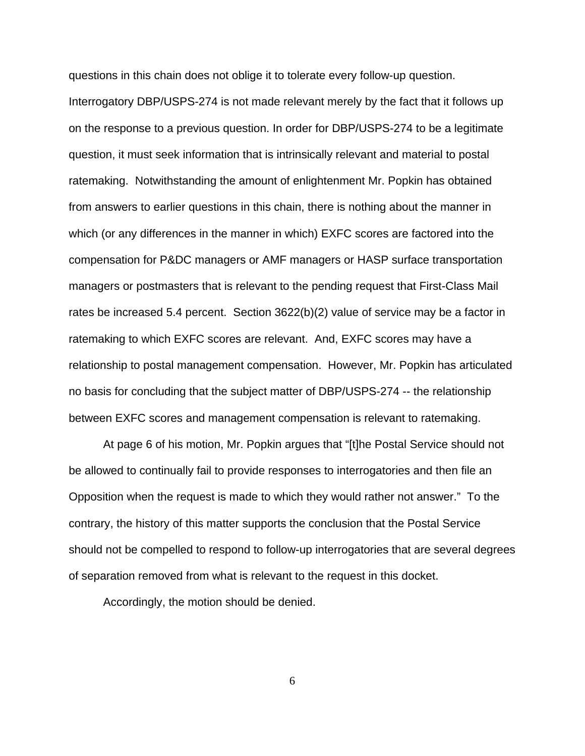questions in this chain does not oblige it to tolerate every follow-up question.

Interrogatory DBP/USPS-274 is not made relevant merely by the fact that it follows up on the response to a previous question. In order for DBP/USPS-274 to be a legitimate question, it must seek information that is intrinsically relevant and material to postal ratemaking. Notwithstanding the amount of enlightenment Mr. Popkin has obtained from answers to earlier questions in this chain, there is nothing about the manner in which (or any differences in the manner in which) EXFC scores are factored into the compensation for P&DC managers or AMF managers or HASP surface transportation managers or postmasters that is relevant to the pending request that First-Class Mail rates be increased 5.4 percent. Section 3622(b)(2) value of service may be a factor in ratemaking to which EXFC scores are relevant. And, EXFC scores may have a relationship to postal management compensation. However, Mr. Popkin has articulated no basis for concluding that the subject matter of DBP/USPS-274 -- the relationship between EXFC scores and management compensation is relevant to ratemaking.

 At page 6 of his motion, Mr. Popkin argues that "[t]he Postal Service should not be allowed to continually fail to provide responses to interrogatories and then file an Opposition when the request is made to which they would rather not answer." To the contrary, the history of this matter supports the conclusion that the Postal Service should not be compelled to respond to follow-up interrogatories that are several degrees of separation removed from what is relevant to the request in this docket.

Accordingly, the motion should be denied.